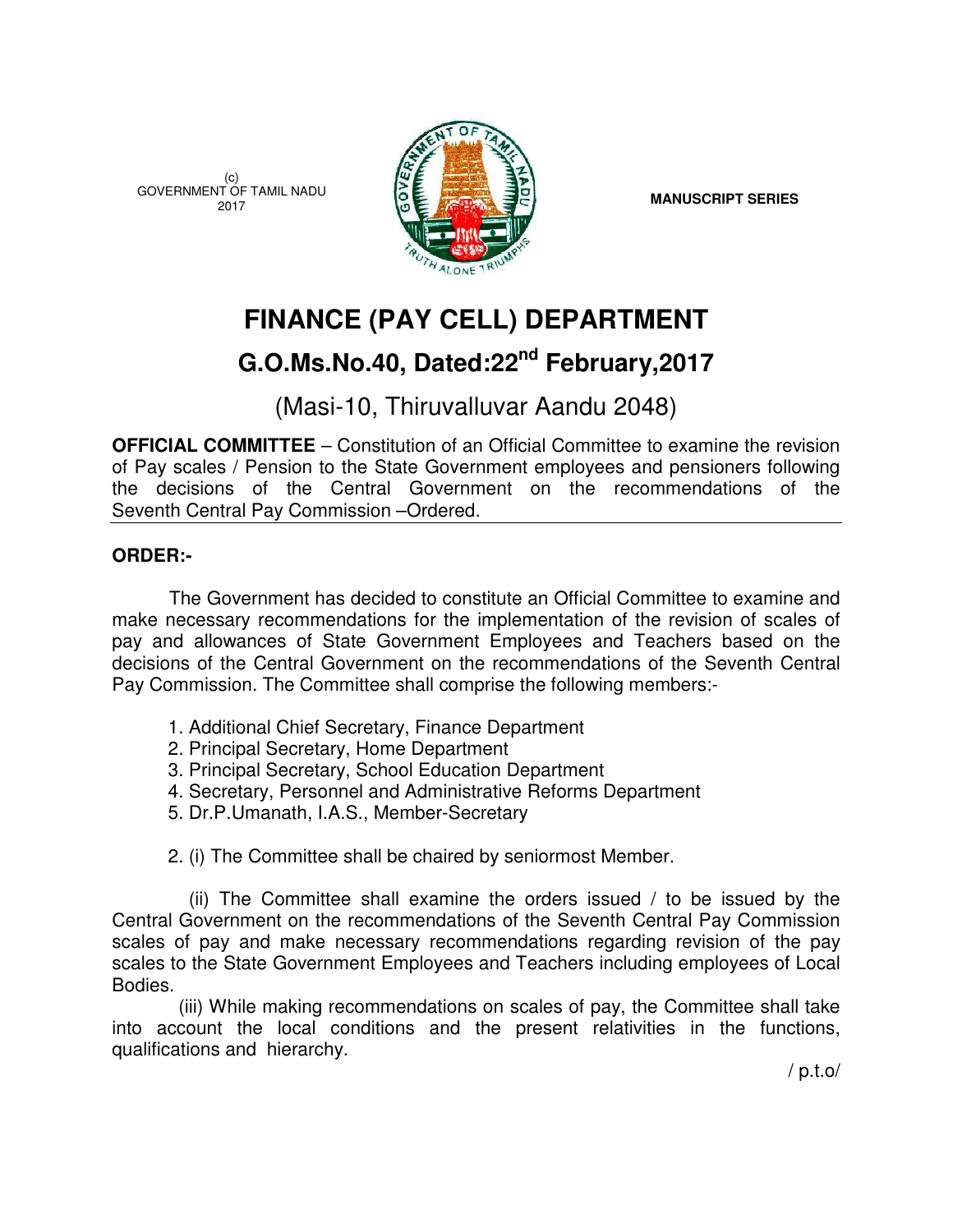(c) GOVERNMENT OF TAMIL NADU



# **FINANCE (PAY CELL) DEPARTMENT**

# **G.O.Ms.No.40, Dated:22nd February,2017**

(Masi-10, Thiruvalluvar Aandu 2048)

**OFFICIAL COMMITTEE** – Constitution of an Official Committee to examine the revision of Pay scales / Pension to the State Government employees and pensioners following the decisions of the Central Government on the recommendations of the Seventh Central Pay Commission –Ordered.

## **ORDER:-**

 The Government has decided to constitute an Official Committee to examine and make necessary recommendations for the implementation of the revision of scales of pay and allowances of State Government Employees and Teachers based on the decisions of the Central Government on the recommendations of the Seventh Central Pay Commission. The Committee shall comprise the following members:-

- 1. Additional Chief Secretary, Finance Department
- 2. Principal Secretary, Home Department
- 3. Principal Secretary, School Education Department
- 4. Secretary, Personnel and Administrative Reforms Department
- 5. Dr.P.Umanath, I.A.S., Member-Secretary

2. (i) The Committee shall be chaired by seniormost Member.

 (ii) The Committee shall examine the orders issued / to be issued by the Central Government on the recommendations of the Seventh Central Pay Commission scales of pay and make necessary recommendations regarding revision of the pay scales to the State Government Employees and Teachers including employees of Local Bodies.

 (iii) While making recommendations on scales of pay, the Committee shall take into account the local conditions and the present relativities in the functions, qualifications and hierarchy.

/ p.t.o/